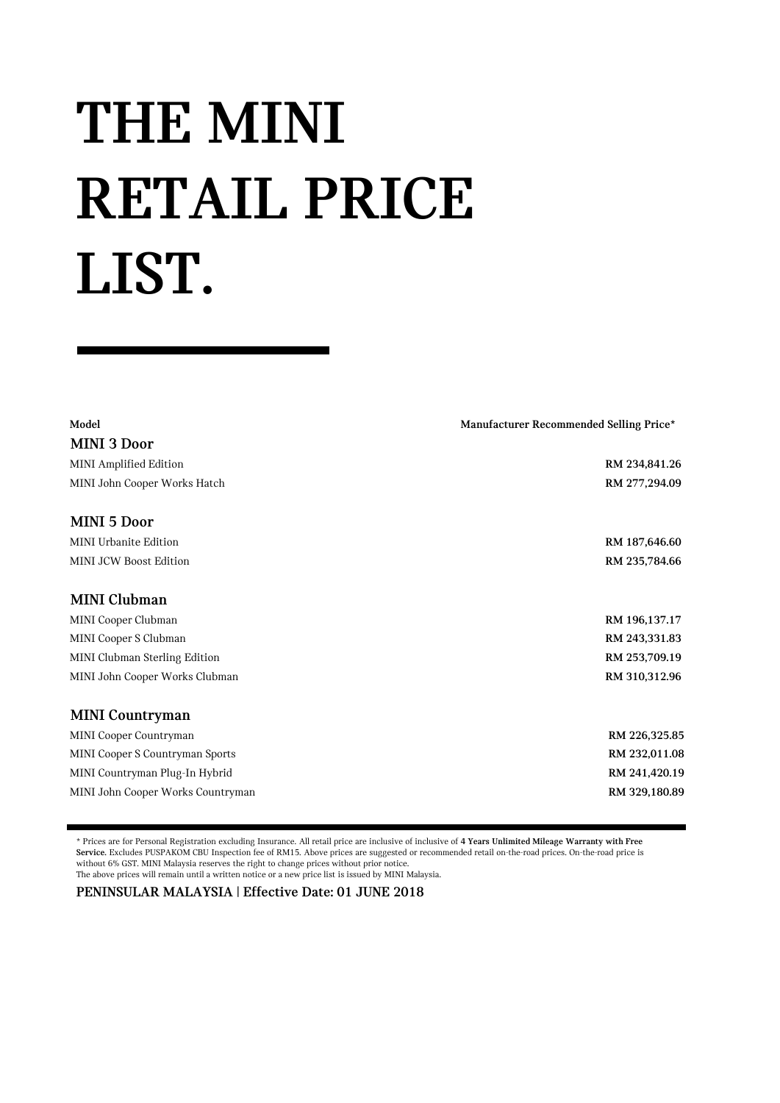## **THE MINI RETAIL PRICE LIST.**

| Model                             | Manufacturer Recommended Selling Price* |
|-----------------------------------|-----------------------------------------|
| <b>MINI 3 Door</b>                |                                         |
| MINI Amplified Edition            | RM 234,841.26                           |
| MINI John Cooper Works Hatch      | RM 277,294.09                           |
| MINI 5 Door                       |                                         |
| <b>MINI Urbanite Edition</b>      | RM 187,646.60                           |
| <b>MINI JCW Boost Edition</b>     | RM 235,784.66                           |
| <b>MINI Clubman</b>               |                                         |
| MINI Cooper Clubman               | RM 196,137.17                           |
| MINI Cooper S Clubman             | RM 243,331.83                           |
| MINI Clubman Sterling Edition     | RM 253,709.19                           |
| MINI John Cooper Works Clubman    | RM 310,312.96                           |
| <b>MINI Countryman</b>            |                                         |
| MINI Cooper Countryman            | RM 226,325.85                           |
| MINI Cooper S Countryman Sports   | RM 232,011.08                           |
| MINI Countryman Plug-In Hybrid    | RM 241,420.19                           |
| MINI John Cooper Works Countryman | RM 329,180.89                           |

\* Prices are for Personal Registration excluding Insurance. All retail price are inclusive of inclusive of **4 Years Unlimited Mileage Warranty with Free Service.** Excludes PUSPAKOM CBU Inspection fee of RM15. Above prices are suggested or recommended retail on-the-road prices. On-the-road price is without 6% GST. MINI Malaysia reserves the right to change prices without prior notice. The above prices will remain until a written notice or a new price list is issued by MINI Malaysia.

**PENINSULAR MALAYSIA | Effective Date: 01 JUNE 2018**